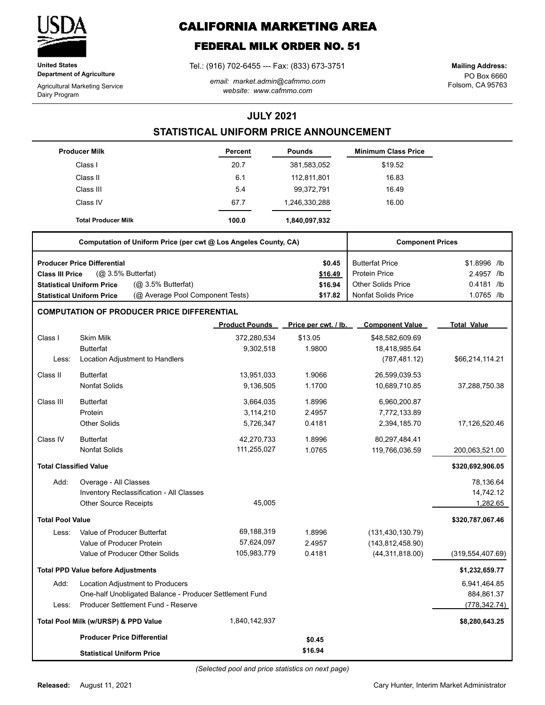

**United States Department of Agriculture**

Agricultural Marketing Service Dairy Program

# **CALIFORNIA MARKETING AREA**

## **FEDERAL MILK ORDER NO. 51**

Tel.: (916) 702-6455 --- Fax: (833) 673-3751

*email: market.admin@cafmmo.com website: www.cafmmo.com*

PO Box 6660 Folsom, CA 95763 **Mailing Address:**

### **JULY 2021**

### **STATISTICAL UNIFORM PRICE ANNOUNCEMENT**

|                               | <b>Producer Milk</b>                                                 | Percent               | <b>Pounds</b>        | <b>Minimum Class Price</b> |                    |
|-------------------------------|----------------------------------------------------------------------|-----------------------|----------------------|----------------------------|--------------------|
|                               | Class I                                                              | 20.7                  | 381,583,052          | \$19.52                    |                    |
|                               | Class II                                                             | 6.1                   | 112,811,801          | 16.83                      |                    |
|                               | Class III                                                            | 5.4                   | 99,372,791           | 16.49                      |                    |
|                               | Class IV                                                             | 67.7                  | 1,246,330,288        | 16.00                      |                    |
|                               | <b>Total Producer Milk</b>                                           | 100.0                 | 1,840,097,932        |                            |                    |
|                               | Computation of Uniform Price (per cwt @ Los Angeles County, CA)      |                       |                      | <b>Component Prices</b>    |                    |
|                               | <b>Producer Price Differential</b>                                   |                       | \$0.45               | <b>Butterfat Price</b>     | \$1.8996 /lb       |
| Class III Price               | (@ 3.5% Butterfat)                                                   |                       | \$16.49              | <b>Protein Price</b>       | 2.4957 /lb         |
|                               | (Q <sub>2</sub> 3.5% Butterfat)<br><b>Statistical Uniform Price</b>  |                       | \$16.94              | <b>Other Solids Price</b>  | 0.4181 /lb         |
|                               | (@ Average Pool Component Tests)<br><b>Statistical Uniform Price</b> |                       | \$17.82              | <b>Nonfat Solids Price</b> | 1.0765 /lb         |
|                               | <b>COMPUTATION OF PRODUCER PRICE DIFFERENTIAL</b>                    |                       |                      |                            |                    |
|                               |                                                                      | <b>Product Pounds</b> | Price per cwt. / lb. | <b>Component Value</b>     | <b>Total Value</b> |
| Class I                       | <b>Skim Milk</b>                                                     | 372,280,534           | \$13.05              | \$48,582,609.69            |                    |
|                               | <b>Butterfat</b>                                                     | 9,302,518             | 1.9800               | 18,418,985.64              |                    |
| Less:                         | Location Adjustment to Handlers                                      |                       |                      | (787, 481.12)              | \$66,214,114.21    |
| Class II                      | <b>Butterfat</b>                                                     | 13,951,033            | 1.9066               | 26,599,039.53              |                    |
|                               | <b>Nonfat Solids</b>                                                 | 9,136,505             | 1.1700               | 10,689,710.85              | 37,288,750.38      |
| Class III                     | <b>Butterfat</b>                                                     | 3,664,035             | 1.8996               | 6,960,200.87               |                    |
|                               | Protein                                                              | 3,114,210             | 2.4957               | 7,772,133.89               |                    |
|                               | <b>Other Solids</b>                                                  | 5,726,347             | 0.4181               | 2,394,185.70               | 17,126,520.46      |
| Class IV                      | <b>Butterfat</b>                                                     | 42,270,733            | 1.8996               | 80,297,484.41              |                    |
|                               | <b>Nonfat Solids</b>                                                 | 111,255,027           | 1.0765               | 119,766,036.59             | 200,063,521.00     |
| <b>Total Classified Value</b> |                                                                      |                       |                      |                            | \$320,692,906.05   |
| Add:                          | Overage - All Classes                                                |                       |                      |                            | 78,136.64          |
|                               | Inventory Reclassification - All Classes                             |                       |                      |                            | 14,742.12          |
|                               | <b>Other Source Receipts</b>                                         | 45,005                |                      |                            | 1,282.65           |
| <b>Total Pool Value</b>       |                                                                      |                       |                      |                            | \$320,787,067.46   |
| Less:                         | Value of Producer Butterfat                                          | 69,188,319            | 1.8996               | (131, 430, 130.79)         |                    |
|                               | Value of Producer Protein                                            | 57,624,097            | 2.4957               | (143, 812, 458.90)         |                    |
|                               | Value of Producer Other Solids                                       | 105,983,779           | 0.4181               | (44, 311, 818.00)          | (319, 554, 407.69) |
|                               | <b>Total PPD Value before Adjustments</b>                            |                       |                      |                            | \$1,232,659.77     |
| Add:                          | Location Adjustment to Producers                                     |                       |                      |                            | 6,941,464.85       |
|                               | One-half Unobligated Balance - Producer Settlement Fund              |                       |                      |                            | 884,861.37         |
| Less:                         | Producer Settlement Fund - Reserve                                   |                       |                      |                            | (778, 342.74)      |
|                               | Total Pool Milk (w/URSP) & PPD Value                                 | 1,840,142,937         |                      |                            | \$8,280,643.25     |
|                               | <b>Producer Price Differential</b>                                   |                       | \$0.45               |                            |                    |
|                               | <b>Statistical Uniform Price</b>                                     |                       | \$16.94              |                            |                    |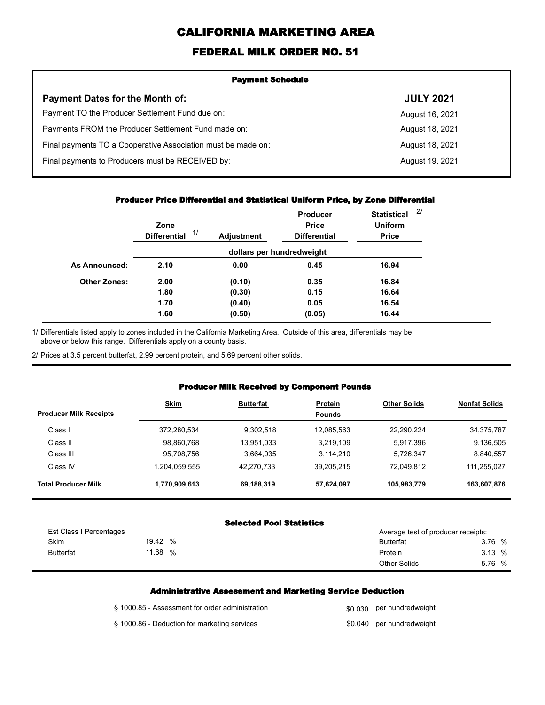# **CALIFORNIA MARKETING AREA**

### **FEDERAL MILK ORDER NO. 51**

| <b>Payment Schedule</b>                                      |                  |  |  |  |
|--------------------------------------------------------------|------------------|--|--|--|
| <b>Payment Dates for the Month of:</b>                       | <b>JULY 2021</b> |  |  |  |
| Payment TO the Producer Settlement Fund due on:              | August 16, 2021  |  |  |  |
| Payments FROM the Producer Settlement Fund made on:          | August 18, 2021  |  |  |  |
| Final payments TO a Cooperative Association must be made on: | August 18, 2021  |  |  |  |
| Final payments to Producers must be RECEIVED by:             | August 19, 2021  |  |  |  |
|                                                              |                  |  |  |  |

#### **Producer Price Differential and Statistical Uniform Price, by Zone Differential**

|                      | Zone<br>1/<br><b>Differential</b> | Adjustment | Producer<br><b>Price</b><br><b>Differential</b> | <b>Statistical</b><br><b>Uniform</b><br><b>Price</b> | 2/ |
|----------------------|-----------------------------------|------------|-------------------------------------------------|------------------------------------------------------|----|
|                      |                                   |            | dollars per hundredweight                       |                                                      |    |
| <b>As Announced:</b> | 2.10                              | 0.00       | 0.45                                            | 16.94                                                |    |
| <b>Other Zones:</b>  | 2.00                              | (0.10)     | 0.35                                            | 16.84                                                |    |
|                      | 1.80                              | (0.30)     | 0.15                                            | 16.64                                                |    |
|                      | 1.70                              | (0.40)     | 0.05                                            | 16.54                                                |    |
|                      | 1.60                              | (0.50)     | (0.05)                                          | 16.44                                                |    |

Differentials listed apply to zones included in the California Marketing Area. Outside of this area, differentials may be above or below this range. Differentials apply on a county basis. 1/

2/ Prices at 3.5 percent butterfat, 2.99 percent protein, and 5.69 percent other solids.

#### **Producer Milk Received by Component Pounds**

| <b>Producer Milk Receipts</b> | <b>Skim</b>   | <b>Butterfat</b> | Protein<br><b>Pounds</b> | <b>Other Solids</b> | <b>Nonfat Solids</b> |
|-------------------------------|---------------|------------------|--------------------------|---------------------|----------------------|
| Class I                       | 372,280,534   | 9.302.518        | 12.085.563               | 22.290.224          | 34,375,787           |
| Class II                      | 98,860,768    | 13,951,033       | 3,219,109                | 5,917,396           | 9,136,505            |
| Class III                     | 95,708,756    | 3.664.035        | 3,114,210                | 5,726,347           | 8.840.557            |
| Class IV                      | 1.204.059.555 | 42.270.733       | 39.205.215               | 72.049.812          | 111.255.027          |
| <b>Total Producer Milk</b>    | 1,770,909,613 | 69,188,319       | 57.624.097               | 105,983,779         | 163,607,876          |

#### **Selected Pool Statistics**

| Est Class I Percentages |       |      | Average test of producer receipts: |        |  |
|-------------------------|-------|------|------------------------------------|--------|--|
| Skim                    | 19.42 | $\%$ | <b>Butterfat</b>                   | 3.76 % |  |
| <b>Butterfat</b>        | 11.68 | %    | Protein                            | 3.13%  |  |
|                         |       |      | <b>Other Solids</b>                | 5.76 % |  |

#### **Administrative Assessment and Marketing Service Deduction**

| § 1000.85 - Assessment for order administration | \$0,030 per hundredweight |
|-------------------------------------------------|---------------------------|
| § 1000.86 - Deduction for marketing services    | \$0.040 per hundredweight |